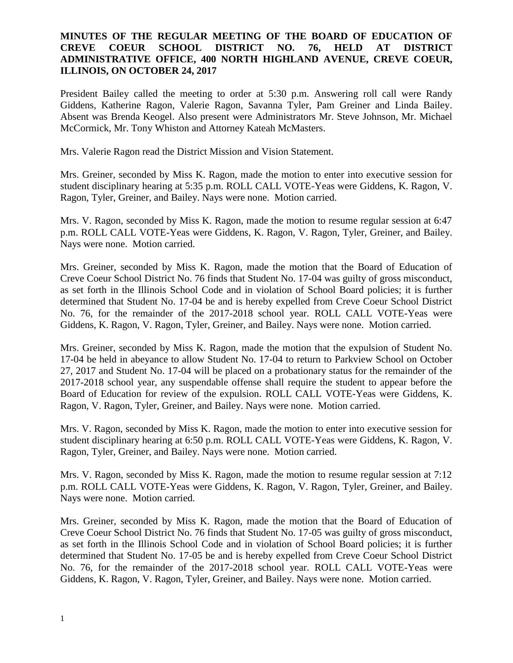### **MINUTES OF THE REGULAR MEETING OF THE BOARD OF EDUCATION OF CREVE COEUR SCHOOL DISTRICT NO. 76, HELD AT DISTRICT ADMINISTRATIVE OFFICE, 400 NORTH HIGHLAND AVENUE, CREVE COEUR, ILLINOIS, ON OCTOBER 24, 2017**

President Bailey called the meeting to order at 5:30 p.m. Answering roll call were Randy Giddens, Katherine Ragon, Valerie Ragon, Savanna Tyler, Pam Greiner and Linda Bailey. Absent was Brenda Keogel. Also present were Administrators Mr. Steve Johnson, Mr. Michael McCormick, Mr. Tony Whiston and Attorney Kateah McMasters.

Mrs. Valerie Ragon read the District Mission and Vision Statement.

Mrs. Greiner, seconded by Miss K. Ragon, made the motion to enter into executive session for student disciplinary hearing at 5:35 p.m. ROLL CALL VOTE-Yeas were Giddens, K. Ragon, V. Ragon, Tyler, Greiner, and Bailey. Nays were none. Motion carried.

Mrs. V. Ragon, seconded by Miss K. Ragon, made the motion to resume regular session at 6:47 p.m. ROLL CALL VOTE-Yeas were Giddens, K. Ragon, V. Ragon, Tyler, Greiner, and Bailey. Nays were none. Motion carried.

Mrs. Greiner, seconded by Miss K. Ragon, made the motion that the Board of Education of Creve Coeur School District No. 76 finds that Student No. 17-04 was guilty of gross misconduct, as set forth in the Illinois School Code and in violation of School Board policies; it is further determined that Student No. 17-04 be and is hereby expelled from Creve Coeur School District No. 76, for the remainder of the 2017-2018 school year. ROLL CALL VOTE-Yeas were Giddens, K. Ragon, V. Ragon, Tyler, Greiner, and Bailey. Nays were none. Motion carried.

Mrs. Greiner, seconded by Miss K. Ragon, made the motion that the expulsion of Student No. 17-04 be held in abeyance to allow Student No. 17-04 to return to Parkview School on October 27, 2017 and Student No. 17-04 will be placed on a probationary status for the remainder of the 2017-2018 school year, any suspendable offense shall require the student to appear before the Board of Education for review of the expulsion. ROLL CALL VOTE-Yeas were Giddens, K. Ragon, V. Ragon, Tyler, Greiner, and Bailey. Nays were none. Motion carried.

Mrs. V. Ragon, seconded by Miss K. Ragon, made the motion to enter into executive session for student disciplinary hearing at 6:50 p.m. ROLL CALL VOTE-Yeas were Giddens, K. Ragon, V. Ragon, Tyler, Greiner, and Bailey. Nays were none. Motion carried.

Mrs. V. Ragon, seconded by Miss K. Ragon, made the motion to resume regular session at 7:12 p.m. ROLL CALL VOTE-Yeas were Giddens, K. Ragon, V. Ragon, Tyler, Greiner, and Bailey. Nays were none. Motion carried.

Mrs. Greiner, seconded by Miss K. Ragon, made the motion that the Board of Education of Creve Coeur School District No. 76 finds that Student No. 17-05 was guilty of gross misconduct, as set forth in the Illinois School Code and in violation of School Board policies; it is further determined that Student No. 17-05 be and is hereby expelled from Creve Coeur School District No. 76, for the remainder of the 2017-2018 school year. ROLL CALL VOTE-Yeas were Giddens, K. Ragon, V. Ragon, Tyler, Greiner, and Bailey. Nays were none. Motion carried.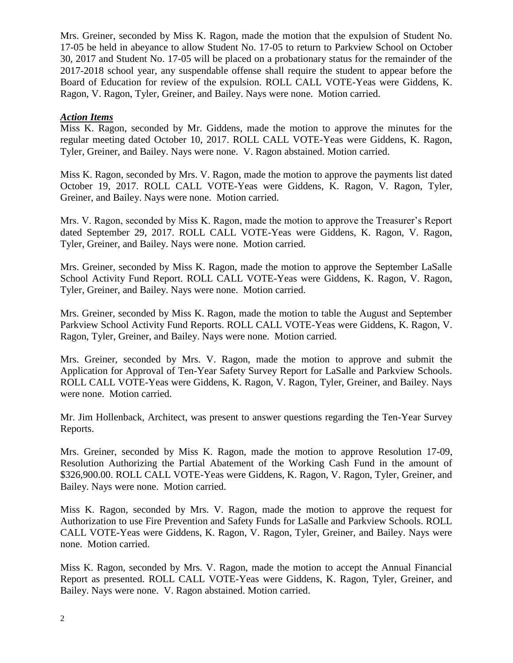Mrs. Greiner, seconded by Miss K. Ragon, made the motion that the expulsion of Student No. 17-05 be held in abeyance to allow Student No. 17-05 to return to Parkview School on October 30, 2017 and Student No. 17-05 will be placed on a probationary status for the remainder of the 2017-2018 school year, any suspendable offense shall require the student to appear before the Board of Education for review of the expulsion. ROLL CALL VOTE-Yeas were Giddens, K. Ragon, V. Ragon, Tyler, Greiner, and Bailey. Nays were none. Motion carried.

### *Action Items*

Miss K. Ragon, seconded by Mr. Giddens, made the motion to approve the minutes for the regular meeting dated October 10, 2017. ROLL CALL VOTE-Yeas were Giddens, K. Ragon, Tyler, Greiner, and Bailey. Nays were none. V. Ragon abstained. Motion carried.

Miss K. Ragon, seconded by Mrs. V. Ragon, made the motion to approve the payments list dated October 19, 2017. ROLL CALL VOTE-Yeas were Giddens, K. Ragon, V. Ragon, Tyler, Greiner, and Bailey. Nays were none. Motion carried.

Mrs. V. Ragon, seconded by Miss K. Ragon, made the motion to approve the Treasurer's Report dated September 29, 2017. ROLL CALL VOTE-Yeas were Giddens, K. Ragon, V. Ragon, Tyler, Greiner, and Bailey. Nays were none. Motion carried.

Mrs. Greiner, seconded by Miss K. Ragon, made the motion to approve the September LaSalle School Activity Fund Report. ROLL CALL VOTE-Yeas were Giddens, K. Ragon, V. Ragon, Tyler, Greiner, and Bailey. Nays were none. Motion carried.

Mrs. Greiner, seconded by Miss K. Ragon, made the motion to table the August and September Parkview School Activity Fund Reports. ROLL CALL VOTE-Yeas were Giddens, K. Ragon, V. Ragon, Tyler, Greiner, and Bailey. Nays were none. Motion carried.

Mrs. Greiner, seconded by Mrs. V. Ragon, made the motion to approve and submit the Application for Approval of Ten-Year Safety Survey Report for LaSalle and Parkview Schools. ROLL CALL VOTE-Yeas were Giddens, K. Ragon, V. Ragon, Tyler, Greiner, and Bailey. Nays were none. Motion carried.

Mr. Jim Hollenback, Architect, was present to answer questions regarding the Ten-Year Survey Reports.

Mrs. Greiner, seconded by Miss K. Ragon, made the motion to approve Resolution 17-09, Resolution Authorizing the Partial Abatement of the Working Cash Fund in the amount of \$326,900.00. ROLL CALL VOTE-Yeas were Giddens, K. Ragon, V. Ragon, Tyler, Greiner, and Bailey. Nays were none. Motion carried.

Miss K. Ragon, seconded by Mrs. V. Ragon, made the motion to approve the request for Authorization to use Fire Prevention and Safety Funds for LaSalle and Parkview Schools. ROLL CALL VOTE-Yeas were Giddens, K. Ragon, V. Ragon, Tyler, Greiner, and Bailey. Nays were none. Motion carried.

Miss K. Ragon, seconded by Mrs. V. Ragon, made the motion to accept the Annual Financial Report as presented. ROLL CALL VOTE-Yeas were Giddens, K. Ragon, Tyler, Greiner, and Bailey. Nays were none. V. Ragon abstained. Motion carried.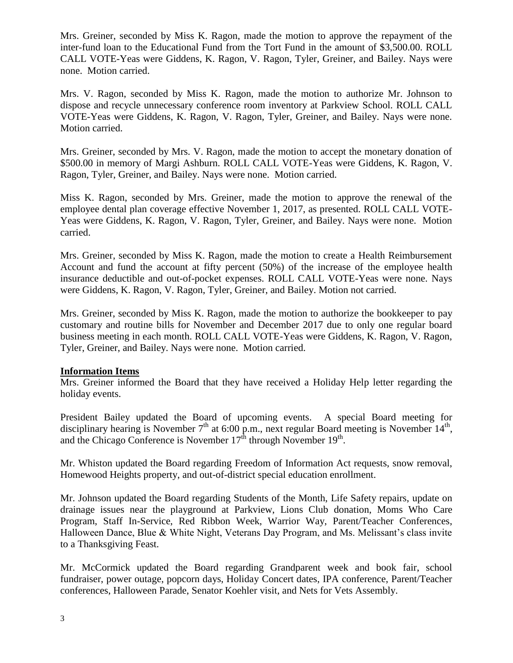Mrs. Greiner, seconded by Miss K. Ragon, made the motion to approve the repayment of the inter-fund loan to the Educational Fund from the Tort Fund in the amount of \$3,500.00. ROLL CALL VOTE-Yeas were Giddens, K. Ragon, V. Ragon, Tyler, Greiner, and Bailey. Nays were none. Motion carried.

Mrs. V. Ragon, seconded by Miss K. Ragon, made the motion to authorize Mr. Johnson to dispose and recycle unnecessary conference room inventory at Parkview School. ROLL CALL VOTE-Yeas were Giddens, K. Ragon, V. Ragon, Tyler, Greiner, and Bailey. Nays were none. Motion carried.

Mrs. Greiner, seconded by Mrs. V. Ragon, made the motion to accept the monetary donation of \$500.00 in memory of Margi Ashburn. ROLL CALL VOTE-Yeas were Giddens, K. Ragon, V. Ragon, Tyler, Greiner, and Bailey. Nays were none. Motion carried.

Miss K. Ragon, seconded by Mrs. Greiner, made the motion to approve the renewal of the employee dental plan coverage effective November 1, 2017, as presented. ROLL CALL VOTE-Yeas were Giddens, K. Ragon, V. Ragon, Tyler, Greiner, and Bailey. Nays were none. Motion carried.

Mrs. Greiner, seconded by Miss K. Ragon, made the motion to create a Health Reimbursement Account and fund the account at fifty percent (50%) of the increase of the employee health insurance deductible and out-of-pocket expenses. ROLL CALL VOTE-Yeas were none. Nays were Giddens, K. Ragon, V. Ragon, Tyler, Greiner, and Bailey. Motion not carried.

Mrs. Greiner, seconded by Miss K. Ragon, made the motion to authorize the bookkeeper to pay customary and routine bills for November and December 2017 due to only one regular board business meeting in each month. ROLL CALL VOTE-Yeas were Giddens, K. Ragon, V. Ragon, Tyler, Greiner, and Bailey. Nays were none. Motion carried.

### **Information Items**

Mrs. Greiner informed the Board that they have received a Holiday Help letter regarding the holiday events.

President Bailey updated the Board of upcoming events. A special Board meeting for disciplinary hearing is November  $7<sup>th</sup>$  at 6:00 p.m., next regular Board meeting is November 14<sup>th</sup>, and the Chicago Conference is November  $17^{\text{th}}$  through November  $19^{\text{th}}$ .

Mr. Whiston updated the Board regarding Freedom of Information Act requests, snow removal, Homewood Heights property, and out-of-district special education enrollment.

Mr. Johnson updated the Board regarding Students of the Month, Life Safety repairs, update on drainage issues near the playground at Parkview, Lions Club donation, Moms Who Care Program, Staff In-Service, Red Ribbon Week, Warrior Way, Parent/Teacher Conferences, Halloween Dance, Blue & White Night, Veterans Day Program, and Ms. Melissant's class invite to a Thanksgiving Feast.

Mr. McCormick updated the Board regarding Grandparent week and book fair, school fundraiser, power outage, popcorn days, Holiday Concert dates, IPA conference, Parent/Teacher conferences, Halloween Parade, Senator Koehler visit, and Nets for Vets Assembly.